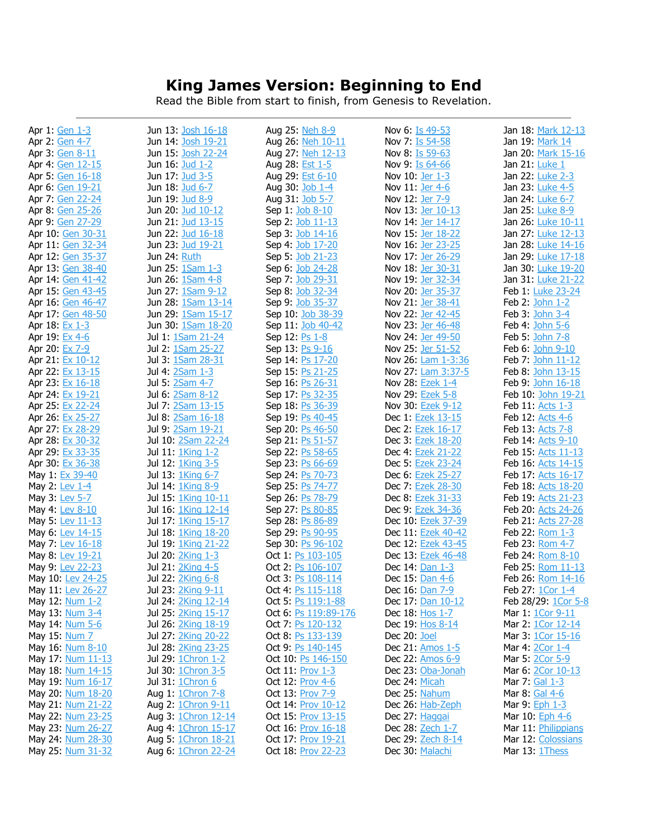## **King James Version: Beginning to End**

Read the Bible from start to finish, from Genesis to Revelation.

| Apr 1: Gen 1-3    | Jun 13: Josh 16-18  | Aug 25: Neh 8-9           | Nov 6: Is 49-53           | Jan 18: Mark 12-13        |
|-------------------|---------------------|---------------------------|---------------------------|---------------------------|
| Apr 2: Gen 4-7    | Jun 14: Josh 19-21  | Aug 26: Neh 10-11         | Nov 7: <u>Is 54-58</u>    | Jan 19: <u>Mark 14</u>    |
| Apr 3: Gen 8-11   | Jun 15: Josh 22-24  | Aug 27: Neh 12-13         | Nov 8: Is 59-63           | Jan 20: Mark 15-16        |
| Apr 4: Gen 12-15  | Jun 16: Jud 1-2     | Aug 28: Est 1-5           | Nov 9: Is 64-66           | Jan 21: Luke 1            |
| Apr 5: Gen 16-18  | Jun 17: Jud 3-5     | Aug 29: Est 6-10          | Nov 10: Jer 1-3           | Jan 22: Luke 2-3          |
| Apr 6: Gen 19-21  | Jun 18: Jud 6-7     | Aug 30: Job 1-4           | Nov 11: <u>Jer 4-6</u>    | Jan 23: Luke 4-5          |
| Apr 7: Gen 22-24  | Jun 19: Jud 8-9     | Aug 31: Job 5-7           | Nov 12: Jer 7-9           | Jan 24: Luke 6-7          |
|                   | Jun 20: Jud 10-12   |                           | Nov 13: Jer 10-13         | Jan 25: Luke 8-9          |
| Apr 8: Gen 25-26  |                     | Sep 1: Job 8-10           |                           |                           |
| Apr 9: Gen 27-29  | Jun 21: Jud 13-15   | Sep 2: Job 11-13          | Nov 14: Jer 14-17         | Jan 26: Luke 10-11        |
| Apr 10: Gen 30-31 | Jun 22: Jud 16-18   | Sep 3: Job 14-16          | Nov 15: Jer 18-22         | Jan 27: <i>Luke</i> 12-13 |
| Apr 11: Gen 32-34 | Jun 23: Jud 19-21   | Sep 4: Job 17-20          | Nov 16: <u>Jer 23-25</u>  | Jan 28: Luke 14-16        |
| Apr 12: Gen 35-37 | Jun 24: Ruth        | Sep 5: Job 21-23          | Nov 17: Jer 26-29         | Jan 29: Luke 17-18        |
| Apr 13: Gen 38-40 | Jun 25: 1Sam 1-3    | Sep 6: Job 24-28          | Nov 18: Jer 30-31         | Jan 30: Luke 19-20        |
| Apr 14: Gen 41-42 | Jun 26: 1Sam 4-8    | Sep 7: Job 29-31          | Nov 19: Jer 32-34         | Jan 31: Luke 21-22        |
| Apr 15: Gen 43-45 | Jun 27: 1Sam 9-12   | Sep 8: Job 32-34          | Nov 20: Jer 35-37         | Feb 1: <i>Luke</i> 23-24  |
| Apr 16: Gen 46-47 | Jun 28: 1Sam 13-14  | Sep 9: Job 35-37          | Nov 21: Jer 38-41         | Feb 2: John 1-2           |
| Apr 17: Gen 48-50 | Jun 29: 1Sam 15-17  | Sep 10: Job 38-39         | Nov 22: Jer 42-45         | Feb 3: John 3-4           |
|                   |                     |                           |                           |                           |
| Apr 18: Ex 1-3    | Jun 30: 1Sam 18-20  | Sep 11: <u>Job 40-42</u>  | Nov 23: Jer 46-48         | Feb 4: John 5-6           |
| Apr 19: Ex 4-6    | Jul 1: 1Sam 21-24   | Sep 12: <u>Ps 1-8</u>     | Nov 24: Jer 49-50         | Feb 5: John 7-8           |
| Apr 20: Ex 7-9    | Jul 2: 1Sam 25-27   | Sep 13: Ps 9-16           | Nov 25: Jer 51-52         | Feb 6: John 9-10          |
| Apr 21: Ex 10-12  | Jul 3: 1Sam 28-31   | Sep 14: Ps 17-20          | Nov 26: <b>Lam 1-3:36</b> | Feb 7: John 11-12         |
| Apr 22: Ex 13-15  | Jul 4: 2Sam 1-3     | Sep 15: Ps 21-25          | Nov 27: Lam 3:37-5        | Feb 8: John 13-15         |
| Apr 23: Ex 16-18  | Jul 5: 2Sam 4-7     | Sep 16: Ps 26-31          | Nov 28: Ezek 1-4          | Feb 9: John 16-18         |
| Apr 24: Ex 19-21  | Jul 6: 2Sam 8-12    | Sep 17: Ps 32-35          | Nov 29: Ezek 5-8          | Feb 10: John 19-21        |
| Apr 25: Ex 22-24  | Jul 7: 2Sam 13-15   | Sep 18: Ps 36-39          | Nov 30: Ezek 9-12         | Feb 11: Acts 1-3          |
| Apr 26: Ex 25-27  | Jul 8: 2Sam 16-18   | Sep 19: Ps 40-45          | Dec 1: Ezek 13-15         | Feb 12: Acts 4-6          |
| Apr 27: Ex 28-29  | Jul 9: 2Sam 19-21   | Sep 20: Ps 46-50          | Dec 2: Ezek 16-17         | Feb 13: Acts 7-8          |
|                   |                     |                           |                           |                           |
| Apr 28: Ex 30-32  | Jul 10: 2Sam 22-24  | Sep 21: Ps 51-57          | Dec 3: Ezek 18-20         | Feb 14: Acts 9-10         |
| Apr 29: Ex 33-35  | Jul 11: 1King 1-2   | Sep 22: Ps 58-65          | Dec 4: Ezek 21-22         | Feb 15: Acts 11-13        |
| Apr 30: Ex 36-38  | Jul 12: 1King 3-5   | Sep 23: Ps 66-69          | Dec 5: Ezek 23-24         | Feb 16: Acts 14-15        |
| May 1: Ex 39-40   | Jul 13: 1King 6-7   | Sep 24: Ps 70-73          | Dec 6: Ezek 25-27         | Feb 17: Acts 16-17        |
| May 2: Lev 1-4    | Jul 14: 1King 8-9   | Sep 25: Ps 74-77          | Dec 7: Ezek 28-30         | Feb 18: Acts 18-20        |
| May 3: Lev 5-7    | Jul 15: 1King 10-11 | Sep 26: Ps 78-79          | Dec 8: Ezek 31-33         | Feb 19: Acts 21-23        |
| May 4: Lev 8-10   | Jul 16: 1King 12-14 | Sep 27: Ps 80-85          | Dec 9: Ezek 34-36         | Feb 20: Acts 24-26        |
| May 5: Lev 11-13  | Jul 17: 1King 15-17 | Sep 28: Ps 86-89          | Dec 10: Ezek 37-39        | Feb 21: Acts 27-28        |
| May 6: Lev 14-15  | Jul 18: 1King 18-20 | Sep 29: Ps 90-95          | Dec 11: Ezek 40-42        | Feb 22: Rom 1-3           |
| May 7: Lev 16-18  | Jul 19: 1King 21-22 | Sep 30: Ps 96-102         | Dec 12: Ezek 43-45        | Feb 23: Rom 4-7           |
| May 8: Lev 19-21  | Jul 20: 2King 1-3   | Oct 1: Ps 103-105         | Dec 13: Ezek 46-48        | Feb 24: Rom 8-10          |
| May 9: Lev 22-23  | Jul 21: 2King 4-5   | Oct 2: <u>Ps 106-107</u>  | Dec 14: Dan 1-3           | Feb 25: Rom 11-13         |
| May 10: Lev 24-25 | Jul 22: 2King 6-8   | Oct 3: Ps 108-114         | Dec 15: <u>Dan 4-6</u>    | Feb 26: Rom 14-16         |
| May 11: Lev 26-27 | Jul 23: 2King 9-11  | Oct 4: Ps 115-118         | Dec 16: Dan 7-9           | Feb 27: 1Cor 1-4          |
| May 12: Num 1-2   | Jul 24: 2King 12-14 | Oct 5: Ps 119:1-88        | Dec 17: Dan 10-12         | Feb 28/29: 1Cor 5-8       |
|                   |                     |                           |                           |                           |
| May 13: Num 3-4   | Jul 25: 2King 15-17 | Oct 6: Ps 119:89-176      | Dec 18: Hos 1-7           | Mar 1: 1Cor 9-11          |
| May 14: Num 5-6   | Jul 26: 2King 18-19 | Oct 7: <u>Ps 120-132</u>  | Dec 19: Hos 8-14          | Mar 2: 1Cor 12-14         |
| May 15: Num 7     | Jul 27: 2King 20-22 | Oct 8: <u>Ps 133-139</u>  | Dec 20: Joel              | Mar 3: 1Cor 15-16         |
| May 16: Num 8-10  | Jul 28: 2King 23-25 | Oct 9: Ps 140-145         | Dec 21: Amos 1-5          | Mar 4: 2Cor 1-4           |
| May 17: Num 11-13 | Jul 29: 1Chron 1-2  | Oct 10: Ps 146-150        | Dec 22: Amos 6-9          | Mar 5: 2Cor 5-9           |
| May 18: Num 14-15 | Jul 30: 1Chron 3-5  | Oct 11: Prov 1-3          | Dec 23: Oba-Jonah         | Mar 6: 2Cor 10-13         |
| May 19: Num 16-17 | Jul 31: 1Chron 6    | Oct 12: <b>Prov 4-6</b>   | Dec 24: <u>Micah</u>      | Mar 7: Gal 1-3            |
| May 20: Num 18-20 | Aug 1: 1Chron 7-8   | Oct 13: Prov 7-9          | Dec 25: Nahum             | Mar 8: <u>Gal 4-6</u>     |
| May 21: Num 21-22 | Aug 2: 1Chron 9-11  | Oct 14: <b>Prov</b> 10-12 | Dec 26: Hab-Zeph          | Mar 9: Eph 1-3            |
| May 22: Num 23-25 | Aug 3: 1Chron 12-14 | Oct 15: Prov 13-15        | Dec 27: Haggai            | Mar 10: Eph 4-6           |
| May 23: Num 26-27 | Aug 4: 1Chron 15-17 | Oct 16: <b>Prov</b> 16-18 | Dec 28: Zech 1-7          | Mar 11: Philippians       |
| May 24: Num 28-30 | Aug 5: 1Chron 18-21 | <b>Oct 17: Prov 19-21</b> | Dec 29: Zech 8-14         | Mar 12: Colossians        |
| May 25: Num 31-32 | Aug 6: 1Chron 22-24 | Oct 18: Prov 22-23        | Dec 30: Malachi           | Mar 13: 1Thess            |
|                   |                     |                           |                           |                           |